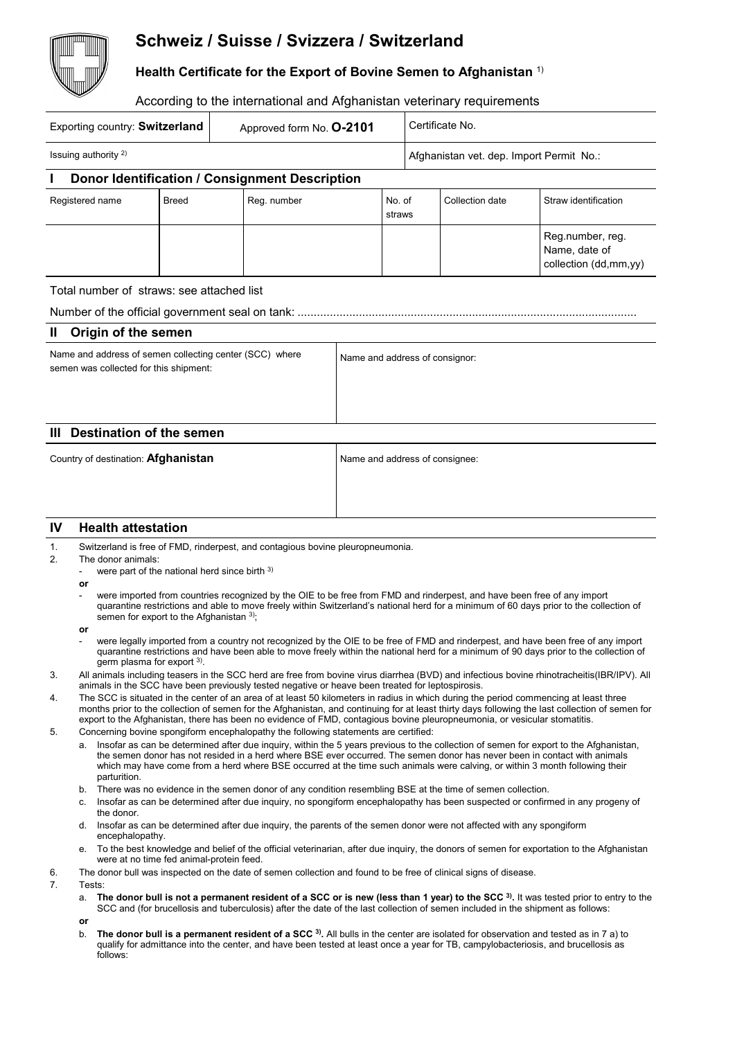## **Schweiz / Suisse / Svizzera / Switzerland**

**Health Certificate for the Export of Bovine Semen to Afghanistan** 1)

## According to the international and Afghanistan veterinary requirements

| Exporting country: Switzerland<br>Approved form No. 0-2101                                        |                                                                                                                                                                                                                                                                                                                                                                                                                                                                                                                                                                                                                                                                                                                                                                    |              |                                                                                                                                                                                                                                                                                                                                                                                                                                                                                          |                                |                                          | Certificate No. |                 |                                                            |
|---------------------------------------------------------------------------------------------------|--------------------------------------------------------------------------------------------------------------------------------------------------------------------------------------------------------------------------------------------------------------------------------------------------------------------------------------------------------------------------------------------------------------------------------------------------------------------------------------------------------------------------------------------------------------------------------------------------------------------------------------------------------------------------------------------------------------------------------------------------------------------|--------------|------------------------------------------------------------------------------------------------------------------------------------------------------------------------------------------------------------------------------------------------------------------------------------------------------------------------------------------------------------------------------------------------------------------------------------------------------------------------------------------|--------------------------------|------------------------------------------|-----------------|-----------------|------------------------------------------------------------|
| Issuing authority <sup>2)</sup>                                                                   |                                                                                                                                                                                                                                                                                                                                                                                                                                                                                                                                                                                                                                                                                                                                                                    |              |                                                                                                                                                                                                                                                                                                                                                                                                                                                                                          |                                | Afghanistan vet. dep. Import Permit No.: |                 |                 |                                                            |
|                                                                                                   |                                                                                                                                                                                                                                                                                                                                                                                                                                                                                                                                                                                                                                                                                                                                                                    |              | Donor Identification / Consignment Description                                                                                                                                                                                                                                                                                                                                                                                                                                           |                                |                                          |                 |                 |                                                            |
|                                                                                                   | Registered name                                                                                                                                                                                                                                                                                                                                                                                                                                                                                                                                                                                                                                                                                                                                                    | <b>Breed</b> | Reg. number                                                                                                                                                                                                                                                                                                                                                                                                                                                                              |                                | No. of<br>straws                         |                 | Collection date | Straw identification                                       |
|                                                                                                   |                                                                                                                                                                                                                                                                                                                                                                                                                                                                                                                                                                                                                                                                                                                                                                    |              |                                                                                                                                                                                                                                                                                                                                                                                                                                                                                          |                                |                                          |                 |                 | Reg.number, reg.<br>Name, date of<br>collection (dd,mm,yy) |
|                                                                                                   | Total number of straws: see attached list                                                                                                                                                                                                                                                                                                                                                                                                                                                                                                                                                                                                                                                                                                                          |              |                                                                                                                                                                                                                                                                                                                                                                                                                                                                                          |                                |                                          |                 |                 |                                                            |
|                                                                                                   |                                                                                                                                                                                                                                                                                                                                                                                                                                                                                                                                                                                                                                                                                                                                                                    |              |                                                                                                                                                                                                                                                                                                                                                                                                                                                                                          |                                |                                          |                 |                 |                                                            |
| Ш                                                                                                 | Origin of the semen                                                                                                                                                                                                                                                                                                                                                                                                                                                                                                                                                                                                                                                                                                                                                |              |                                                                                                                                                                                                                                                                                                                                                                                                                                                                                          |                                |                                          |                 |                 |                                                            |
| Name and address of semen collecting center (SCC) where<br>semen was collected for this shipment: |                                                                                                                                                                                                                                                                                                                                                                                                                                                                                                                                                                                                                                                                                                                                                                    |              |                                                                                                                                                                                                                                                                                                                                                                                                                                                                                          | Name and address of consignor: |                                          |                 |                 |                                                            |
|                                                                                                   |                                                                                                                                                                                                                                                                                                                                                                                                                                                                                                                                                                                                                                                                                                                                                                    |              |                                                                                                                                                                                                                                                                                                                                                                                                                                                                                          |                                |                                          |                 |                 |                                                            |
| Ш                                                                                                 | <b>Destination of the semen</b>                                                                                                                                                                                                                                                                                                                                                                                                                                                                                                                                                                                                                                                                                                                                    |              |                                                                                                                                                                                                                                                                                                                                                                                                                                                                                          |                                |                                          |                 |                 |                                                            |
| Country of destination: Afghanistan                                                               |                                                                                                                                                                                                                                                                                                                                                                                                                                                                                                                                                                                                                                                                                                                                                                    |              | Name and address of consignee:                                                                                                                                                                                                                                                                                                                                                                                                                                                           |                                |                                          |                 |                 |                                                            |
| IV                                                                                                | <b>Health attestation</b>                                                                                                                                                                                                                                                                                                                                                                                                                                                                                                                                                                                                                                                                                                                                          |              |                                                                                                                                                                                                                                                                                                                                                                                                                                                                                          |                                |                                          |                 |                 |                                                            |
| 1.<br>2.                                                                                          | Switzerland is free of FMD, rinderpest, and contagious bovine pleuropneumonia.<br>The donor animals:<br>were part of the national herd since birth 3)<br>or<br>were imported from countries recognized by the OIE to be free from FMD and rinderpest, and have been free of any import<br>quarantine restrictions and able to move freely within Switzerland's national herd for a minimum of 60 days prior to the collection of<br>semen for export to the Afghanistan $3$ ;<br>or<br>were legally imported from a country not recognized by the OIE to be free of FMD and rinderpest, and have been free of any import<br>quarantine restrictions and have been able to move freely within the national herd for a minimum of 90 days prior to the collection of |              |                                                                                                                                                                                                                                                                                                                                                                                                                                                                                          |                                |                                          |                 |                 |                                                            |
| 3.                                                                                                | germ plasma for export $3$ ).<br>All animals including teasers in the SCC herd are free from bovine virus diarrhea (BVD) and infectious bovine rhinotracheitis (IBR/IPV). All                                                                                                                                                                                                                                                                                                                                                                                                                                                                                                                                                                                      |              |                                                                                                                                                                                                                                                                                                                                                                                                                                                                                          |                                |                                          |                 |                 |                                                            |
| 4.                                                                                                | animals in the SCC have been previously tested negative or heave been treated for leptospirosis.<br>The SCC is situated in the center of an area of at least 50 kilometers in radius in which during the period commencing at least three<br>months prior to the collection of semen for the Afghanistan, and continuing for at least thirty days following the last collection of semen for<br>export to the Afghanistan, there has been no evidence of FMD, contagious bovine pleuropneumonia, or vesicular stomatitis.                                                                                                                                                                                                                                          |              |                                                                                                                                                                                                                                                                                                                                                                                                                                                                                          |                                |                                          |                 |                 |                                                            |
| 5.                                                                                                | а.                                                                                                                                                                                                                                                                                                                                                                                                                                                                                                                                                                                                                                                                                                                                                                 |              | Concerning bovine spongiform encephalopathy the following statements are certified:<br>Insofar as can be determined after due inquiry, within the 5 years previous to the collection of semen for export to the Afghanistan,<br>the semen donor has not resided in a herd where BSE ever occurred. The semen donor has never been in contact with animals<br>which may have come from a herd where BSE occurred at the time such animals were calving, or within 3 month following their |                                |                                          |                 |                 |                                                            |
|                                                                                                   | parturition.<br>b.                                                                                                                                                                                                                                                                                                                                                                                                                                                                                                                                                                                                                                                                                                                                                 |              | There was no evidence in the semen donor of any condition resembling BSE at the time of semen collection.                                                                                                                                                                                                                                                                                                                                                                                |                                |                                          |                 |                 |                                                            |

- c. Insofar as can be determined after due inquiry, no spongiform encephalopathy has been suspected or confirmed in any progeny of the donor.
- d. Insofar as can be determined after due inquiry, the parents of the semen donor were not affected with any spongiform encephalopathy.
- e. To the best knowledge and belief of the official veterinarian, after due inquiry, the donors of semen for exportation to the Afghanistan were at no time fed animal-protein feed.
- 6. The donor bull was inspected on the date of semen collection and found to be free of clinical signs of disease.
- 7. Tests:
	- a. **The donor bull is not a permanent resident of a SCC or is new (less than 1 year) to the SCC 3).** It was tested prior to entry to the SCC and (for brucellosis and tuberculosis) after the date of the last collection of semen included in the shipment as follows:
	- **or**
	- b. **The donor bull is a permanent resident of a SCC 3).** All bulls in the center are isolated for observation and tested as in 7 a) to qualify for admittance into the center, and have been tested at least once a year for TB, campylobacteriosis, and brucellosis as follows: